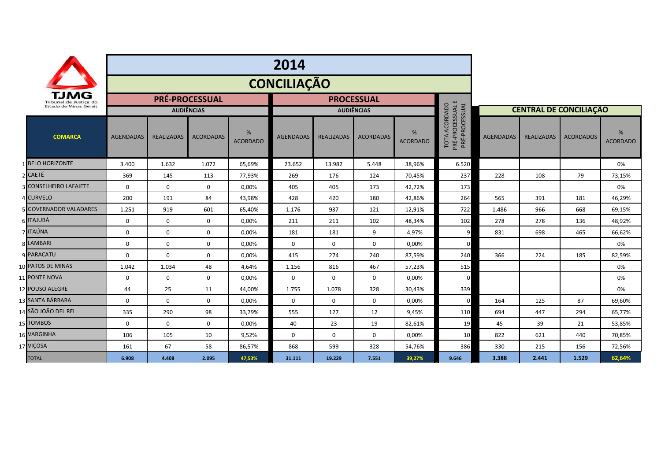|                                |                               | 2014                  |                   |                  |                      |                   |                   |                  |                      |                                                            |                               |                   |                  |                      |
|--------------------------------|-------------------------------|-----------------------|-------------------|------------------|----------------------|-------------------|-------------------|------------------|----------------------|------------------------------------------------------------|-------------------------------|-------------------|------------------|----------------------|
| TJMG<br>Tribunal de Justiça do |                               | <b>CONCILIAÇÃO</b>    |                   |                  |                      |                   |                   |                  |                      |                                                            |                               |                   |                  |                      |
|                                |                               | <b>PRÉ-PROCESSUAL</b> |                   |                  |                      | <b>PROCESSUAL</b> |                   |                  |                      |                                                            |                               |                   |                  |                      |
|                                | Estado de Minas Gerais        | <b>AUDIÊNCIAS</b>     |                   |                  |                      | <b>AUDIÊNCIAS</b> |                   |                  |                      |                                                            | <b>CENTRAL DE CONCILIAÇÃO</b> |                   |                  |                      |
|                                | <b>COMARCA</b>                | <b>AGENDADAS</b>      | <b>REALIZADAS</b> | <b>ACORDADAS</b> | %<br><b>ACORDADO</b> | <b>AGENDADAS</b>  | <b>REALIZADAS</b> | <b>ACORDADAS</b> | %<br><b>ACORDADO</b> | PRÉ-PROCESSUAL E<br>PRÉ-PROCESSUAL<br><b>TOTA ACORDADO</b> | <b>AGENDADAS</b>              | <b>REALIZADAS</b> | <b>ACORDADOS</b> | %<br><b>ACORDADO</b> |
|                                | 1 BELO HORIZONTE              | 3.400                 | 1.632             | 1.072            | 65,69%               | 23.652            | 13.982            | 5.448            | 38,96%               | 6.520                                                      |                               |                   |                  | 0%                   |
|                                | 2 CAETÉ                       | 369                   | 145               | 113              | 77,93%               | 269               | 176               | 124              | 70,45%               | 237                                                        | 228                           | 108               | 79               | 73,15%               |
|                                | <b>CONSELHEIRO LAFAIETE</b>   | $\mathbf 0$           | $\mathbf 0$       | $\mathbf{0}$     | 0,00%                | 405               | 405               | 173              | 42,72%               | 173                                                        |                               |                   |                  | 0%                   |
|                                | <b>CURVELO</b>                | 200                   | 191               | 84               | 43,98%               | 428               | 420               | 180              | 42,86%               | 264                                                        | 565                           | 391               | 181              | 46,29%               |
|                                | <b>5 GOVERNADOR VALADARES</b> | 1.251                 | 919               | 601              | 65,40%               | 1.176             | 937               | 121              | 12,91%               | 722                                                        | 1.486                         | 966               | 668              | 69,15%               |
|                                | <b>ITAJUBÁ</b>                | $\mathbf 0$           | $\mathbf 0$       | $\mathbf{0}$     | 0,00%                | 211               | 211               | 102              | 48,34%               | 102                                                        | 278                           | 278               | 136              | 48,92%               |
|                                | <b>ITAÚNA</b>                 | $\mathbf 0$           | 0                 | $\mathbf{0}$     | 0,00%                | 181               | 181               | 9                | 4,97%                | q                                                          | 831                           | 698               | 465              | 66,62%               |
|                                | 8 LAMBARI                     | $\mathbf 0$           | 0                 | $\mathbf 0$      | 0,00%                | $\mathbf 0$       | $\mathbf 0$       | $\mathbf 0$      | 0,00%                | $\Omega$                                                   |                               |                   |                  | 0%                   |
|                                | <b>9 PARACATU</b>             | $\Omega$              | $\Omega$          | $\mathbf 0$      | 0,00%                | 415               | 274               | 240              | 87,59%               | 240                                                        | 366                           | 224               | 185              | 82,59%               |
|                                | 10 PATOS DE MINAS             | 1.042                 | 1.034             | 48               | 4,64%                | 1.156             | 816               | 467              | 57,23%               | 515                                                        |                               |                   |                  | 0%                   |
|                                | 11 PONTE NOVA                 | $\mathbf 0$           | 0                 | $\mathbf 0$      | 0,00%                | $\mathbf 0$       | 0                 | 0                | 0,00%                | $\Omega$                                                   |                               |                   |                  | 0%                   |
|                                | 12 POUSO ALEGRE               | 44                    | 25                | 11               | 44,00%               | 1.755             | 1.078             | 328              | 30,43%               | 339                                                        |                               |                   |                  | 0%                   |
|                                | 13 SANTA BÁRBARA              | $\mathbf 0$           | $\mathbf 0$       | $\mathbf 0$      | 0.00%                | $\mathbf 0$       | $\mathbf 0$       | $\mathbf 0$      | 0.00%                | $\Omega$                                                   | 164                           | 125               | 87               | 69,60%               |
|                                | 14 SÃO JOÃO DEL REI           | 335                   | 290               | 98               | 33,79%               | 555               | 127               | 12               | 9,45%                | 110                                                        | 694                           | 447               | 294              | 65,77%               |
|                                | 15 TOMBOS                     | $\mathbf 0$           | $\mathbf 0$       | $\mathbf 0$      | 0,00%                | 40                | 23                | 19               | 82,61%               | 19                                                         | 45                            | 39                | 21               | 53,85%               |
|                                | 16 VARGINHA                   | 106                   | 105               | 10               | 9,52%                | $\Omega$          | $\Omega$          | $\Omega$         | 0.00%                | 10                                                         | 822                           | 621               | 440              | 70,85%               |
|                                | 17 VIÇOSA                     | 161                   | 67                | 58               | 86,57%               | 868               | 599               | 328              | 54,76%               | 386                                                        | 330                           | 215               | 156              | 72,56%               |
|                                | <b>TOTAL</b>                  | 6.908                 | 4.408             | 2.095            | 47,53%               | 31.111            | 19.229            | 7.551            | 39,27%               | 9.646                                                      | 3.388                         | 2.441             | 1.529            | 62,64%               |